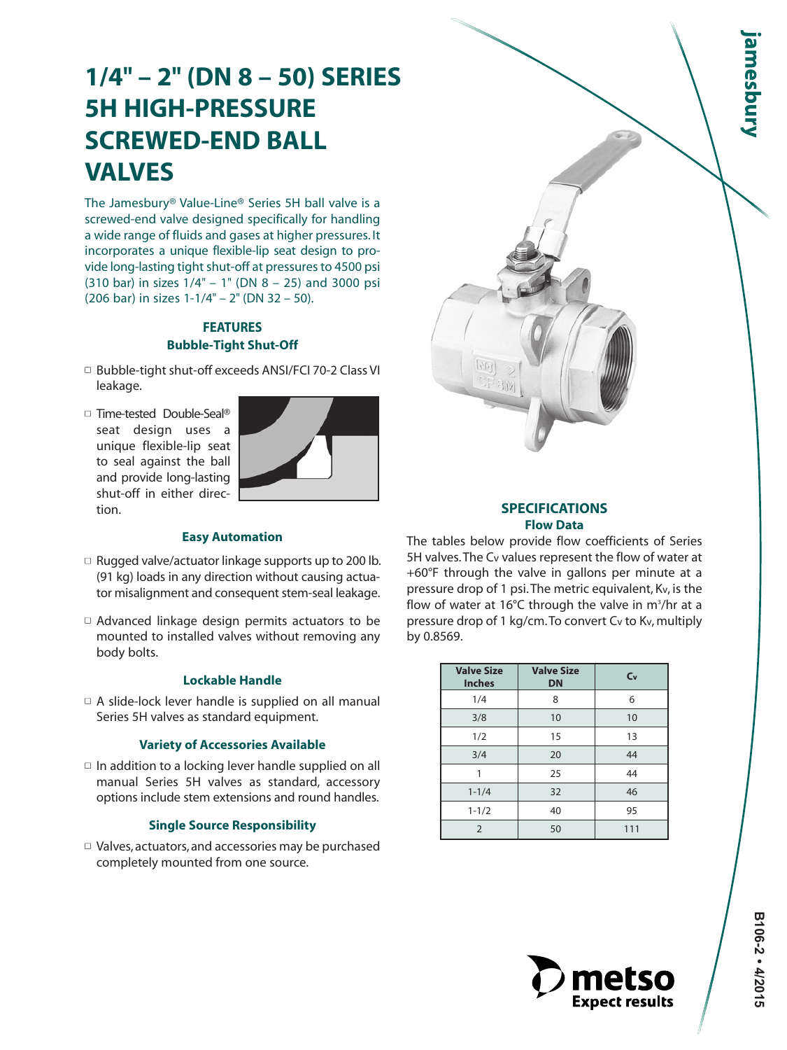# **1/4" – 2" (DN 8 – 50) SERIES 5H HIGH-PRESSURE SCREWED-END BALL VALVES**

The Jamesbury® Value-Line® Series 5H ball valve is a screwed-end valve designed specifically for handling a wide range of fluids and gases at higher pressures. It incorporates a unique flexible-lip seat design to provide long-lasting tight shut-off at pressures to 4500 psi (310 bar) in sizes 1/4" – 1" (DN 8 – 25) and 3000 psi (206 bar) in sizes 1-1/4" – 2" (DN 32 – 50).

# **FEATURES Bubble-Tight Shut-Off**

- □ Bubble-tight shut-off exceeds ANSI/FCI 70-2 Class VI leakage.
- □ Time-tested Double-Seal® seat design uses a unique flexible-lip seat to seal against the ball and provide long-lasting shut-off in either direction.



# **Easy Automation**

- $\square$  Rugged valve/actuator linkage supports up to 200 lb. (91 kg) loads in any direction without causing actuator misalignment and consequent stem-seal leakage.
- $\Box$  Advanced linkage design permits actuators to be mounted to installed valves without removing any body bolts.

# **Lockable Handle**

 $\Box$  A slide-lock lever handle is supplied on all manual Series 5H valves as standard equipment.

# **Variety of Accessories Available**

 $\Box$  In addition to a locking lever handle supplied on all manual Series 5H valves as standard, accessory options include stem extensions and round handles.

# **Single Source Responsibility**

 $\Box$  Valves, actuators, and accessories may be purchased completely mounted from one source.

# **SPECIFICATIONS Flow Data**

The tables below provide flow coefficients of Series 5H valves. The Cv values represent the flow of water at +60°F through the valve in gallons per minute at a pressure drop of 1 psi. The metric equivalent, Kv, is the flow of water at 16°C through the valve in m<sup>3</sup>/hr at a pressure drop of 1 kg/cm. To convert Cv to Kv, multiply by 0.8569.

| <b>Valve Size</b><br><b>Inches</b> | <b>Valve Size</b><br><b>DN</b> | C <sub>v</sub> |
|------------------------------------|--------------------------------|----------------|
| 1/4                                | 8                              | 6              |
| 3/8                                | 10                             | 10             |
| 1/2                                | 15                             | 13             |
| 3/4                                | 20                             | 44             |
| 1                                  | 25                             | 44             |
| $1 - 1/4$                          | 32                             | 46             |
| $1 - 1/2$                          | 40                             | 95             |
| $\overline{2}$                     | 50                             | 111            |



**amesbury**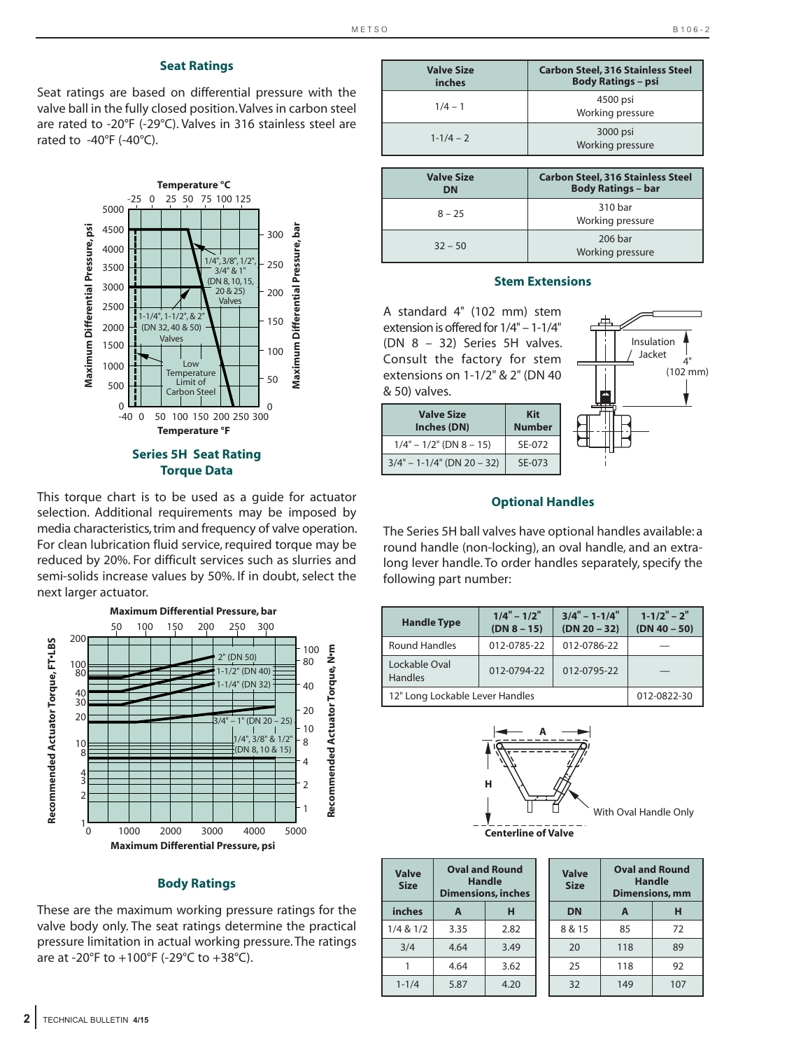#### **Seat Ratings**

Seat ratings are based on differential pressure with the valve ball in the fully closed position. Valves in carbon steel are rated to -20°F (-29°C). Valves in 316 stainless steel are rated to  $-40^{\circ}$ F ( $-40^{\circ}$ C).



This torque chart is to be used as a guide for actuator selection. Additional requirements may be imposed by media characteristics, trim and frequency of valve operation. For clean lubrication fluid service, required torque may be reduced by 20%. For difficult services such as slurries and semi-solids increase values by 50%. If in doubt, select the next larger actuator.



#### **Body Ratings**

These are the maximum working pressure ratings for the valve body only. The seat ratings determine the practical pressure limitation in actual working pressure. The ratings are at -20°F to +100°F (-29°C to +38°C).

| <b>Valve Size</b><br>inches | <b>Carbon Steel, 316 Stainless Steel</b><br><b>Body Ratings - psi</b> |
|-----------------------------|-----------------------------------------------------------------------|
| $1/4 - 1$                   | 4500 psi<br>Working pressure                                          |
| $1 - 1/4 - 2$               | 3000 psi<br>Working pressure                                          |
|                             |                                                                       |
| <b>Valve Size</b>           | <b>Carbon Steel, 316 Stainless Steel</b>                              |
| <b>DN</b>                   | <b>Body Ratings - bar</b>                                             |
| $8 - 25$                    | 310 bar<br>Working pressure                                           |

#### **Stem Extensions**

A standard 4" (102 mm) stem extension is offered for 1/4" – 1-1/4" (DN 8 – 32) Series 5H valves. Consult the factory for stem extensions on 1-1/2" & 2" (DN 40 & 50) valves.

| <b>Valve Size</b><br>Inches (DN) | Kit<br><b>Number</b> |
|----------------------------------|----------------------|
| $1/4" - 1/2"$ (DN 8 - 15)        | SF-072               |
| $3/4" - 1 - 1/4"$ (DN 20 - 32)   | SE-073               |



#### **Optional Handles**

The Series 5H ball valves have optional handles available: a round handle (non-locking), an oval handle, and an extralong lever handle. To order handles separately, specify the following part number:

| <b>Handle Type</b>              | $1/4" - 1/2"$<br>$(DN 8 - 15)$ | $3/4" - 1-1/4"$<br>$(DN 20 - 32)$ | $1 - 1/2" - 2"$<br>$(DN 40 - 50)$ |
|---------------------------------|--------------------------------|-----------------------------------|-----------------------------------|
| <b>Round Handles</b>            | 012-0785-22                    | 012-0786-22                       |                                   |
| Lockable Oval<br><b>Handles</b> | 012-0794-22                    | 012-0795-22                       |                                   |
| 12" Long Lockable Lever Handles | 012-0822-30                    |                                   |                                   |



| <b>Valve</b><br><b>Size</b> | <b>Oval and Round</b><br>Handle<br><b>Dimensions, inches</b> |      |  |  |  |  |
|-----------------------------|--------------------------------------------------------------|------|--|--|--|--|
| inches                      | A                                                            | н    |  |  |  |  |
| $1/4$ & $1/2$               | 3.35                                                         | 2.82 |  |  |  |  |
| 3/4                         | 4.64                                                         | 3.49 |  |  |  |  |
|                             | 4.64                                                         | 3.62 |  |  |  |  |
| $1 - 1/4$                   | 5.87                                                         | 4.20 |  |  |  |  |

| <b>Valve</b><br><b>Size</b> | <b>Oval and Round</b><br>Dimensions, mm | <b>Handle</b> |
|-----------------------------|-----------------------------------------|---------------|
| <b>DN</b>                   | A                                       | н             |
| 8 & 15                      | 85                                      | 72            |
| 20                          | 118                                     | 89            |
| 25                          | 118                                     | 92            |
| 32                          | 149                                     | 107           |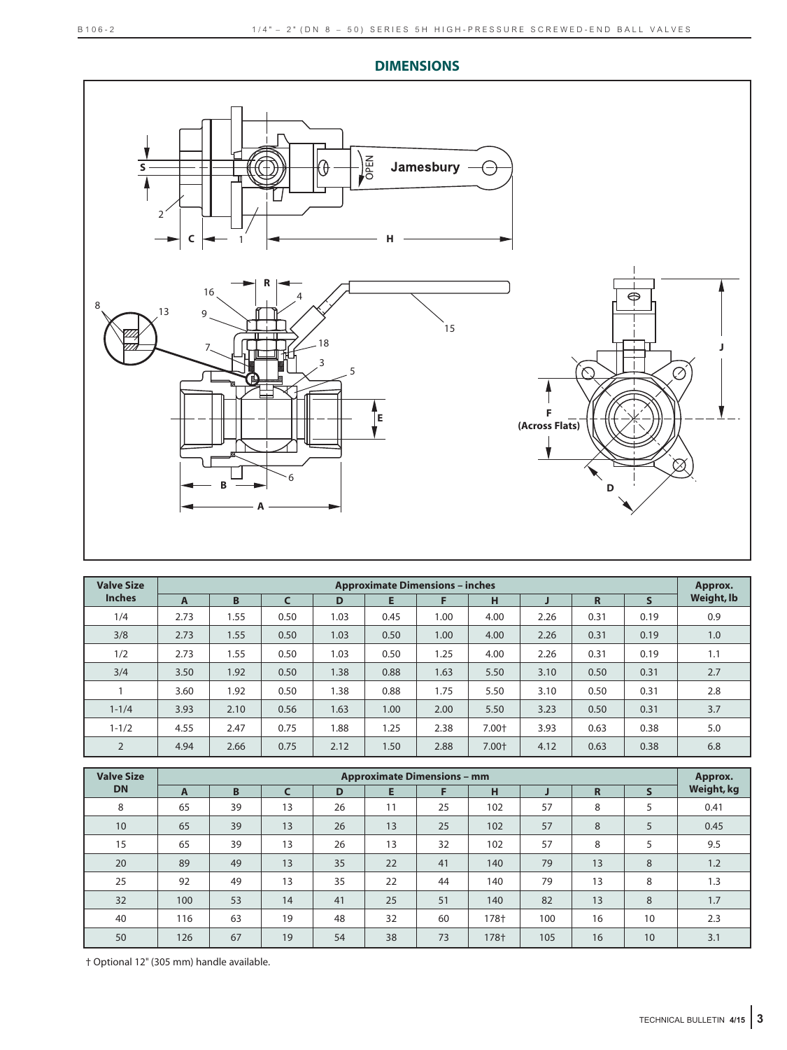**DIMENSIONS**



| <b>Valve Size</b> |      | <b>Approximate Dimensions - inches</b> |            |      |      |      |       |      |                |              | Approx.    |
|-------------------|------|----------------------------------------|------------|------|------|------|-------|------|----------------|--------------|------------|
| <b>Inches</b>     | A    | B                                      | $\epsilon$ | D    | E    | F    | H     |      | $\overline{R}$ | $\mathsf{s}$ | Weight, lb |
| 1/4               | 2.73 | 1.55                                   | 0.50       | 1.03 | 0.45 | 1.00 | 4.00  | 2.26 | 0.31           | 0.19         | 0.9        |
| 3/8               | 2.73 | 1.55                                   | 0.50       | 1.03 | 0.50 | 1.00 | 4.00  | 2.26 | 0.31           | 0.19         | 1.0        |
| 1/2               | 2.73 | 1.55                                   | 0.50       | 1.03 | 0.50 | 1.25 | 4.00  | 2.26 | 0.31           | 0.19         | 1.1        |
| 3/4               | 3.50 | 1.92                                   | 0.50       | 1.38 | 0.88 | 1.63 | 5.50  | 3.10 | 0.50           | 0.31         | 2.7        |
|                   | 3.60 | 1.92                                   | 0.50       | 1.38 | 0.88 | 1.75 | 5.50  | 3.10 | 0.50           | 0.31         | 2.8        |
| $1 - 1/4$         | 3.93 | 2.10                                   | 0.56       | 1.63 | 1.00 | 2.00 | 5.50  | 3.23 | 0.50           | 0.31         | 3.7        |
| $1 - 1/2$         | 4.55 | 2.47                                   | 0.75       | 1.88 | 1.25 | 2.38 | 7.00+ | 3.93 | 0.63           | 0.38         | 5.0        |
| $\overline{2}$    | 4.94 | 2.66                                   | 0.75       | 2.12 | 1.50 | 2.88 | 7.00+ | 4.12 | 0.63           | 0.38         | 6.8        |

| <b>Valve Size</b> |              | <b>Approximate Dimensions - mm</b> |    |    |    |    |      |     |             | Approx.      |            |
|-------------------|--------------|------------------------------------|----|----|----|----|------|-----|-------------|--------------|------------|
| <b>DN</b>         | $\mathbf{A}$ | B                                  |    | D  | E  | F  | н    |     | $\mathbf R$ | $\mathsf{s}$ | Weight, kg |
| 8                 | 65           | 39                                 | 13 | 26 | 11 | 25 | 102  | 57  | 8           | 5            | 0.41       |
| 10                | 65           | 39                                 | 13 | 26 | 13 | 25 | 102  | 57  | 8           | 5            | 0.45       |
| 15                | 65           | 39                                 | 13 | 26 | 13 | 32 | 102  | 57  | 8           | 5            | 9.5        |
| 20                | 89           | 49                                 | 13 | 35 | 22 | 41 | 140  | 79  | 13          | 8            | 1.2        |
| 25                | 92           | 49                                 | 13 | 35 | 22 | 44 | 140  | 79  | 13          | 8            | 1.3        |
| 32                | 100          | 53                                 | 14 | 41 | 25 | 51 | 140  | 82  | 13          | 8            | 1.7        |
| 40                | 116          | 63                                 | 19 | 48 | 32 | 60 | 178+ | 100 | 16          | 10           | 2.3        |
| 50                | 126          | 67                                 | 19 | 54 | 38 | 73 | 178+ | 105 | 16          | 10           | 3.1        |

† Optional 12" (305 mm) handle available.